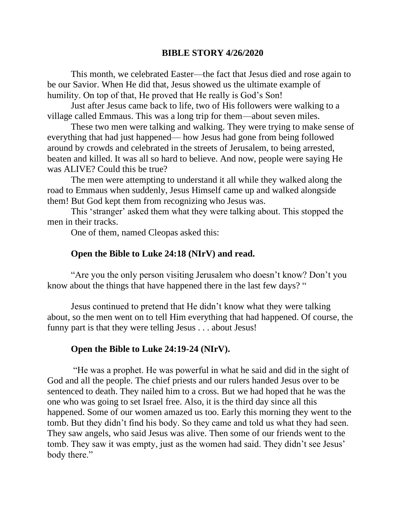## **BIBLE STORY 4/26/2020**

This month, we celebrated Easter—the fact that Jesus died and rose again to be our Savior. When He did that, Jesus showed us the ultimate example of humility. On top of that, He proved that He really is God's Son!

Just after Jesus came back to life, two of His followers were walking to a village called Emmaus. This was a long trip for them—about seven miles.

These two men were talking and walking. They were trying to make sense of everything that had just happened— how Jesus had gone from being followed around by crowds and celebrated in the streets of Jerusalem, to being arrested, beaten and killed. It was all so hard to believe. And now, people were saying He was ALIVE? Could this be true?

The men were attempting to understand it all while they walked along the road to Emmaus when suddenly, Jesus Himself came up and walked alongside them! But God kept them from recognizing who Jesus was.

This 'stranger' asked them what they were talking about. This stopped the men in their tracks.

One of them, named Cleopas asked this:

## **Open the Bible to Luke 24:18 (NIrV) and read.**

"Are you the only person visiting Jerusalem who doesn't know? Don't you know about the things that have happened there in the last few days? "

Jesus continued to pretend that He didn't know what they were talking about, so the men went on to tell Him everything that had happened. Of course, the funny part is that they were telling Jesus . . . about Jesus!

## **Open the Bible to Luke 24:19-24 (NIrV).**

"He was a prophet. He was powerful in what he said and did in the sight of God and all the people. The chief priests and our rulers handed Jesus over to be sentenced to death. They nailed him to a cross. But we had hoped that he was the one who was going to set Israel free. Also, it is the third day since all this happened. Some of our women amazed us too. Early this morning they went to the tomb. But they didn't find his body. So they came and told us what they had seen. They saw angels, who said Jesus was alive. Then some of our friends went to the tomb. They saw it was empty, just as the women had said. They didn't see Jesus' body there."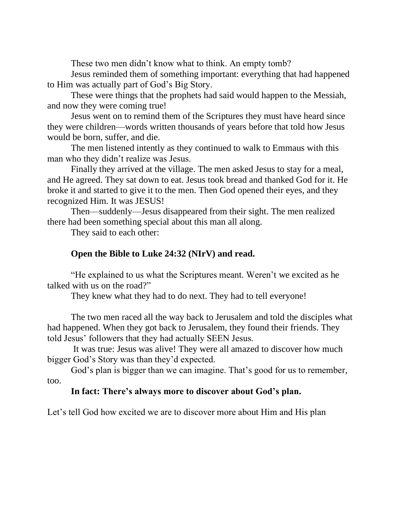These two men didn't know what to think. An empty tomb?

Jesus reminded them of something important: everything that had happened to Him was actually part of God's Big Story.

These were things that the prophets had said would happen to the Messiah, and now they were coming true!

Jesus went on to remind them of the Scriptures they must have heard since they were children—words written thousands of years before that told how Jesus would be born, suffer, and die.

The men listened intently as they continued to walk to Emmaus with this man who they didn't realize was Jesus.

Finally they arrived at the village. The men asked Jesus to stay for a meal, and He agreed. They sat down to eat. Jesus took bread and thanked God for it. He broke it and started to give it to the men. Then God opened their eyes, and they recognized Him. It was JESUS!

Then—suddenly—Jesus disappeared from their sight. The men realized there had been something special about this man all along.

They said to each other:

# **Open the Bible to Luke 24:32 (NIrV) and read.**

"He explained to us what the Scriptures meant. Weren't we excited as he talked with us on the road?"

They knew what they had to do next. They had to tell everyone!

The two men raced all the way back to Jerusalem and told the disciples what had happened. When they got back to Jerusalem, they found their friends. They told Jesus' followers that they had actually SEEN Jesus.

It was true: Jesus was alive! They were all amazed to discover how much bigger God's Story was than they'd expected.

God's plan is bigger than we can imagine. That's good for us to remember, too.

## **In fact: There's always more to discover about God's plan.**

Let's tell God how excited we are to discover more about Him and His plan